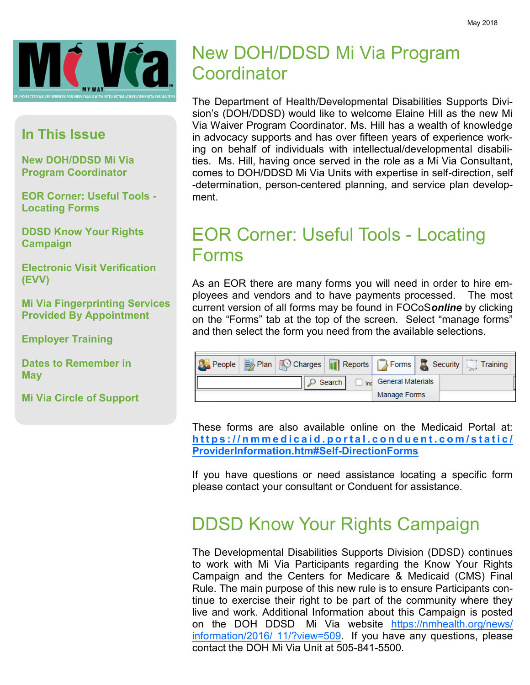

#### **In This Issue**

**New DOH/DDSD Mi Via Program Coordinator**

**EOR Corner: Useful Tools - Locating Forms**

**DDSD Know Your Rights Campaign**

**Electronic Visit Verification (EVV)**

**Mi Via Fingerprinting Services Provided By Appointment**

**Employer Training**

**Dates to Remember in May**

**Mi Via Circle of Support**

# New DOH/DDSD Mi Via Program **Coordinator**

The Department of Health/Developmental Disabilities Supports Division's (DOH/DDSD) would like to welcome Elaine Hill as the new Mi Via Waiver Program Coordinator. Ms. Hill has a wealth of knowledge in advocacy supports and has over fifteen years of experience working on behalf of individuals with intellectual/developmental disabilities. Ms. Hill, having once served in the role as a Mi Via Consultant, comes to DOH/DDSD Mi Via Units with expertise in self-direction, self -determination, person-centered planning, and service plan development.

# EOR Corner: Useful Tools - Locating Forms

As an EOR there are many forms you will need in order to hire employees and vendors and to have payments processed. The most current version of all forms may be found in FOCoS*online* by clicking on the "Forms" tab at the top of the screen. Select "manage forms" and then select the form you need from the available selections.

| People   Plan   Coharges       Reports   De Forms   2 Security |                |                       |  | $\overline{\phantom{a}}$ Training |
|----------------------------------------------------------------|----------------|-----------------------|--|-----------------------------------|
|                                                                | $\circ$ Search | Inc General Materials |  |                                   |
|                                                                |                | Manage Forms          |  |                                   |

These forms are also available online on the Medicaid Portal at: https://nmmedicaid.portal.conduent.com/static/ **[ProviderInformation.htm#Self-DirectionForms](https://nmmedicaid.portal.conduent.com/static/ProviderInformation.htm#Self-DirectionForms)**

If you have questions or need assistance locating a specific form please contact your consultant or Conduent for assistance.

# DDSD Know Your Rights Campaign

The Developmental Disabilities Supports Division (DDSD) continues to work with Mi Via Participants regarding the Know Your Rights Campaign and the Centers for Medicare & Medicaid (CMS) Final Rule. The main purpose of this new rule is to ensure Participants continue to exercise their right to be part of the community where they live and work. Additional Information about this Campaign is posted on the DOH DDSD Mi Via website [https://nmhealth.org/news/](https://nmhealth.org/news/information/2016/11/?view=509) [information/2016/ 11/?view=509.](https://nmhealth.org/news/information/2016/11/?view=509) If you have any questions, please contact the DOH Mi Via Unit at 505-841-5500.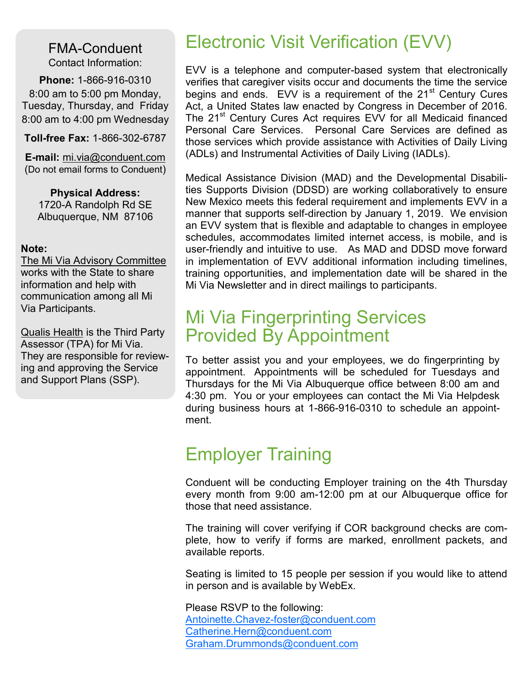FMA-Conduent Contact Information:

**Phone:** 1-866-916-0310 8:00 am to 5:00 pm Monday, Tuesday, Thursday, and Friday 8:00 am to 4:00 pm Wednesday

**Toll-free Fax:** 1-866-302-6787

**E-mail:** mi.via@conduent.com (Do not email forms to Conduent)

**Physical Address:** 1720-A Randolph Rd SE Albuquerque, NM 87106

#### **Note:**

The Mi Via Advisory Committee works with the State to share information and help with communication among all Mi Via Participants.

Qualis Health is the Third Party Assessor (TPA) for Mi Via. They are responsible for reviewing and approving the Service and Support Plans (SSP).

# Electronic Visit Verification (EVV)

EVV is a telephone and computer-based system that electronically verifies that caregiver visits occur and documents the time the service begins and ends. EVV is a requirement of the 21<sup>st</sup> Century Cures Act, a United States law enacted by Congress in December of 2016. The 21<sup>st</sup> Century Cures Act requires EVV for all Medicaid financed Personal Care Services. Personal Care Services are defined as those services which provide assistance with Activities of Daily Living (ADLs) and Instrumental Activities of Daily Living (IADLs).

Medical Assistance Division (MAD) and the Developmental Disabilities Supports Division (DDSD) are working collaboratively to ensure New Mexico meets this federal requirement and implements EVV in a manner that supports self-direction by January 1, 2019. We envision an EVV system that is flexible and adaptable to changes in employee schedules, accommodates limited internet access, is mobile, and is user-friendly and intuitive to use. As MAD and DDSD move forward in implementation of EVV additional information including timelines, training opportunities, and implementation date will be shared in the Mi Via Newsletter and in direct mailings to participants.

### Mi Via Fingerprinting Services Provided By Appointment

To better assist you and your employees, we do fingerprinting by appointment. Appointments will be scheduled for Tuesdays and Thursdays for the Mi Via Albuquerque office between 8:00 am and 4:30 pm. You or your employees can contact the Mi Via Helpdesk during business hours at 1-866-916-0310 to schedule an appointment.

## Employer Training

Conduent will be conducting Employer training on the 4th Thursday every month from 9:00 am-12:00 pm at our Albuquerque office for those that need assistance.

The training will cover verifying if COR background checks are complete, how to verify if forms are marked, enrollment packets, and available reports.

Seating is limited to 15 people per session if you would like to attend in person and is available by WebEx.

Please RSVP to the following: [Antoinette.Chavez-foster@conduent.com](mailto:Antoinette.Chavez-foster@conduent.com) [Catherine.Hern@conduent.com](mailto:Catherine.Hern@conduent.com) [Graham.Drummonds@conduent.com](mailto:Catherine.Hern@conduent.com)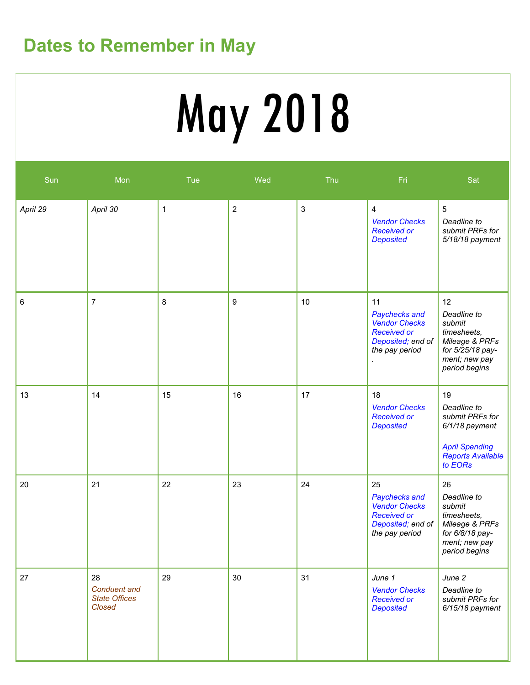# **Dates to Remember in May**

# May 2018

| Sun      | Mon                                                         | Tue          | Wed            | Thu          | Fri                                                                                                      | Sat                                                                                                                    |
|----------|-------------------------------------------------------------|--------------|----------------|--------------|----------------------------------------------------------------------------------------------------------|------------------------------------------------------------------------------------------------------------------------|
| April 29 | April 30                                                    | $\mathbf{1}$ | $\overline{2}$ | $\mathbf{3}$ | 4<br><b>Vendor Checks</b><br><b>Received or</b><br><b>Deposited</b>                                      | $\overline{5}$<br>Deadline to<br>submit PRFs for<br>5/18/18 payment                                                    |
| 6        | $\overline{7}$                                              | 8            | 9              | 10           | 11<br>Paychecks and<br><b>Vendor Checks</b><br><b>Received or</b><br>Deposited; end of<br>the pay period | 12<br>Deadline to<br>submit<br>timesheets,<br>Mileage & PRFs<br>for 5/25/18 pay-<br>ment; new pay<br>period begins     |
| 13       | 14                                                          | 15           | 16             | 17           | 18<br><b>Vendor Checks</b><br><b>Received or</b><br><b>Deposited</b>                                     | 19<br>Deadline to<br>submit PRFs for<br>6/1/18 payment<br><b>April Spending</b><br><b>Reports Available</b><br>to EORs |
| 20       | 21                                                          | 22           | 23             | 24           | 25<br>Paychecks and<br><b>Vendor Checks</b><br><b>Received or</b><br>Deposited; end of<br>the pay period | 26<br>Deadline to<br>submit<br>timesheets,<br>Mileage & PRFs<br>for 6/8/18 pay-<br>ment; new pay<br>period begins      |
| 27       | 28<br><b>Conduent and</b><br><b>State Offices</b><br>Closed | 29           | 30             | 31           | June 1<br><b>Vendor Checks</b><br><b>Received or</b><br><b>Deposited</b>                                 | June 2<br>Deadline to<br>submit PRFs for<br>$6/15/18$ payment                                                          |